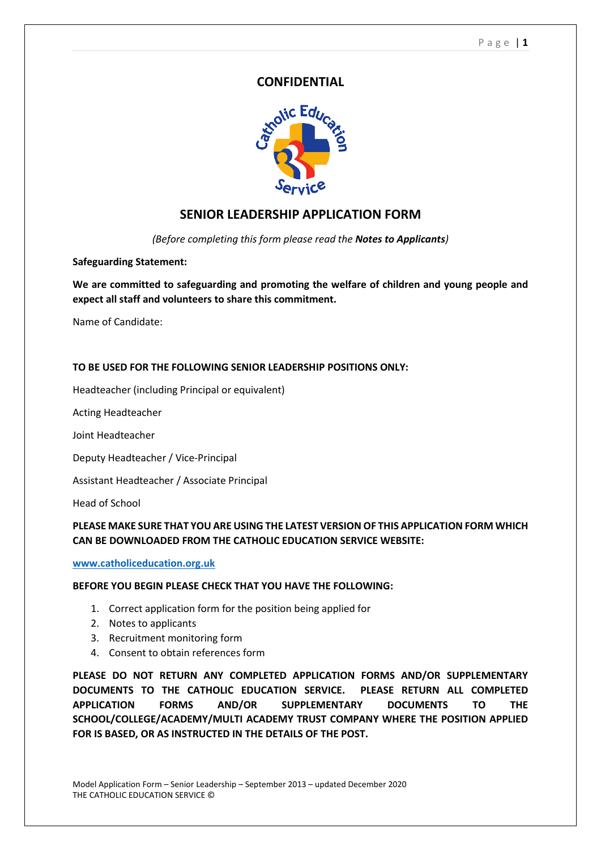## **CONFIDENTIAL**



## **SENIOR LEADERSHIP APPLICATION FORM**

*(Before completing this form please read the Notes to Applicants)*

#### **Safeguarding Statement:**

**We are committed to safeguarding and promoting the welfare of children and young people and expect all staff and volunteers to share this commitment.**

Name of Candidate:

#### **TO BE USED FOR THE FOLLOWING SENIOR LEADERSHIP POSITIONS ONLY:**

Headteacher (including Principal or equivalent)

Acting Headteacher

Joint Headteacher

Deputy Headteacher / Vice-Principal

Assistant Headteacher / Associate Principal

Head of School

### **PLEASE MAKE SURE THAT YOU ARE USING THE LATEST VERSION OF THIS APPLICATION FORM WHICH CAN BE DOWNLOADED FROM THE CATHOLIC EDUCATION SERVICE WEBSITE:**

**[www.catholiceducation.org.uk](http://www.catholiceducation.org.uk/)**

#### **BEFORE YOU BEGIN PLEASE CHECK THAT YOU HAVE THE FOLLOWING:**

- 1. Correct application form for the position being applied for
- 2. Notes to applicants
- 3. Recruitment monitoring form
- 4. Consent to obtain references form

**PLEASE DO NOT RETURN ANY COMPLETED APPLICATION FORMS AND/OR SUPPLEMENTARY DOCUMENTS TO THE CATHOLIC EDUCATION SERVICE. PLEASE RETURN ALL COMPLETED APPLICATION FORMS AND/OR SUPPLEMENTARY DOCUMENTS TO THE SCHOOL/COLLEGE/ACADEMY/MULTI ACADEMY TRUST COMPANY WHERE THE POSITION APPLIED FOR IS BASED, OR AS INSTRUCTED IN THE DETAILS OF THE POST.**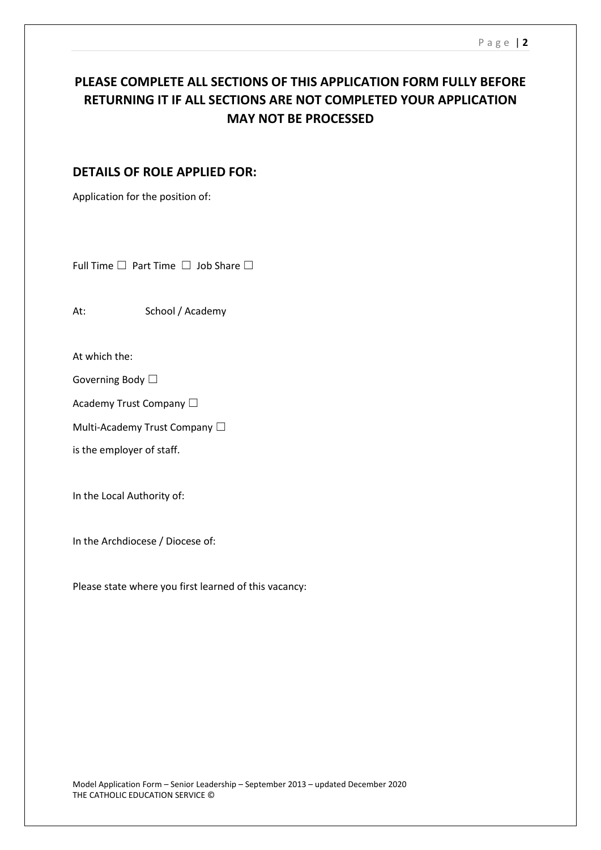## **PLEASE COMPLETE ALL SECTIONS OF THIS APPLICATION FORM FULLY BEFORE RETURNING IT IF ALL SECTIONS ARE NOT COMPLETED YOUR APPLICATION MAY NOT BE PROCESSED**

## **DETAILS OF ROLE APPLIED FOR:**

Application for the position of:

Full Time  $□$  Part Time  $□$  Job Share  $□$ 

At: School / Academy

At which the:

Governing Body □

Academy Trust Company □

Multi-Academy Trust Company □

is the employer of staff.

In the Local Authority of:

In the Archdiocese / Diocese of:

Please state where you first learned of this vacancy: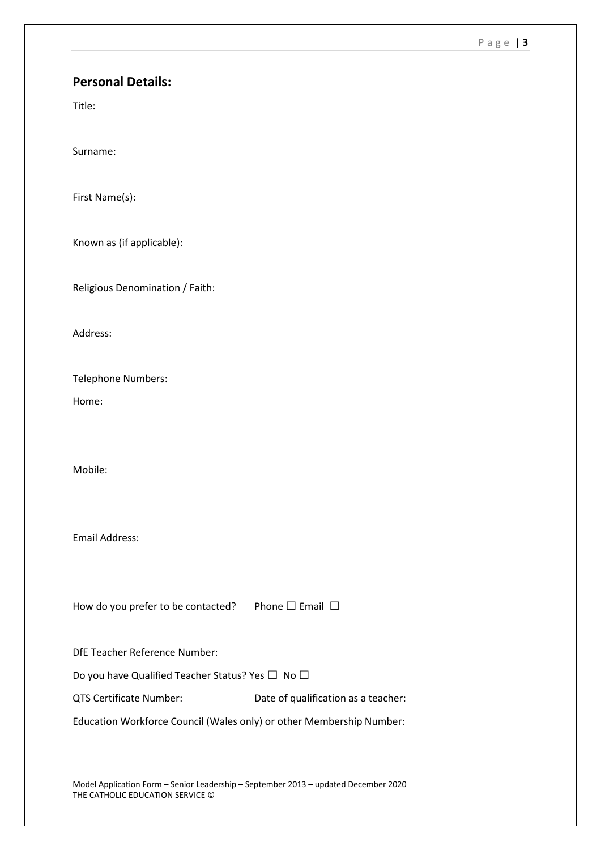#### P a g e | **3**

## **Personal Details:**

Title:

Surname:

First Name(s):

Known as (if applicable):

Religious Denomination / Faith:

Address:

Telephone Numbers:

Home:

Mobile:

Email Address:

How do you prefer to be contacted? Phone  $□$  Email  $□$ 

DfE Teacher Reference Number:

Do you have Qualified Teacher Status? Yes □ No □

QTS Certificate Number: Date of qualification as a teacher:

Education Workforce Council (Wales only) or other Membership Number:

Model Application Form – Senior Leadership – September 2013 – updated December 2020 THE CATHOLIC EDUCATION SERVICE ©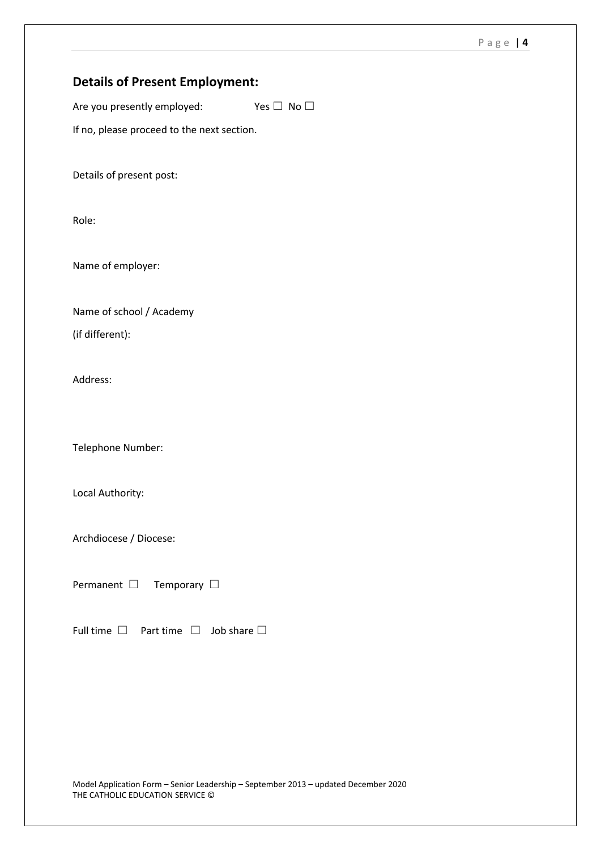## **Details of Present Employment:**

Are you presently employed: Yes  $\Box$  No  $\Box$ 

If no, please proceed to the next section.

Details of present post:

Role:

Name of employer:

Name of school / Academy (if different):

Address:

Telephone Number:

Local Authority:

Archdiocese / Diocese:

Permanent □ Temporary □

Full time  $□$  Part time  $□$  Job share  $□$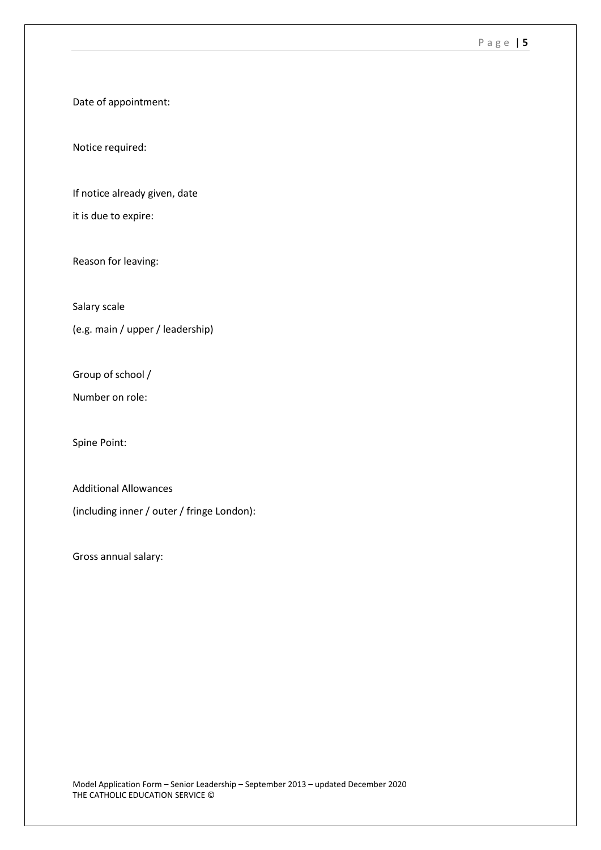#### P a g e | **5**

Date of appointment:

Notice required:

If notice already given, date

it is due to expire:

Reason for leaving:

Salary scale

(e.g. main / upper / leadership)

Group of school /

Number on role:

Spine Point:

Additional Allowances (including inner / outer / fringe London):

Gross annual salary: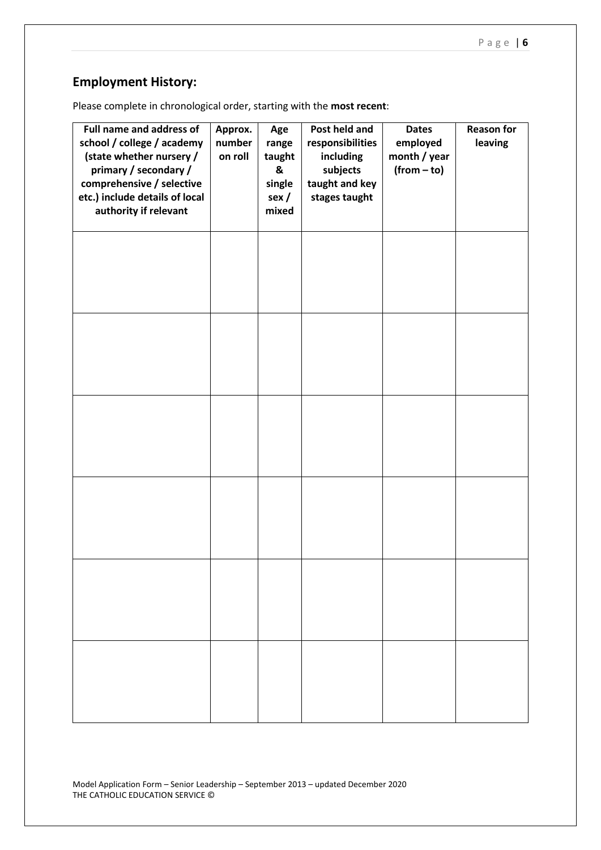## **Employment History:**

Please complete in chronological order, starting with the **most recent**:

| Full name and address of<br>school / college / academy<br>(state whether nursery /<br>primary / secondary /<br>comprehensive / selective<br>etc.) include details of local<br>authority if relevant | Approx.<br>number<br>on roll | Age<br>range<br>taught<br>&<br>single<br>sex/<br>mixed | Post held and<br>responsibilities<br>including<br>subjects<br>taught and key<br>stages taught | <b>Dates</b><br>employed<br>month / year<br>$(from - to)$ | <b>Reason for</b><br>leaving |
|-----------------------------------------------------------------------------------------------------------------------------------------------------------------------------------------------------|------------------------------|--------------------------------------------------------|-----------------------------------------------------------------------------------------------|-----------------------------------------------------------|------------------------------|
|                                                                                                                                                                                                     |                              |                                                        |                                                                                               |                                                           |                              |
|                                                                                                                                                                                                     |                              |                                                        |                                                                                               |                                                           |                              |
|                                                                                                                                                                                                     |                              |                                                        |                                                                                               |                                                           |                              |
|                                                                                                                                                                                                     |                              |                                                        |                                                                                               |                                                           |                              |
|                                                                                                                                                                                                     |                              |                                                        |                                                                                               |                                                           |                              |
|                                                                                                                                                                                                     |                              |                                                        |                                                                                               |                                                           |                              |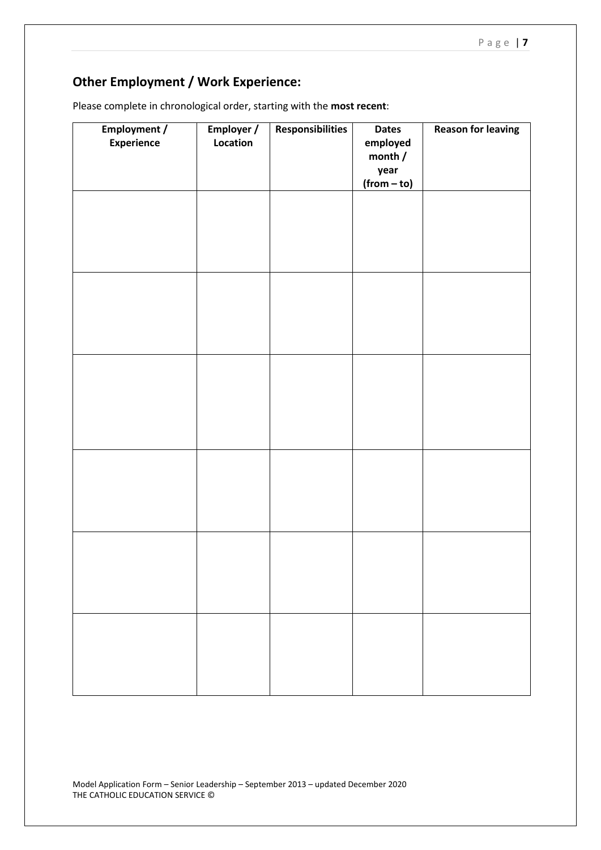# **Other Employment / Work Experience:**

| Please complete in chronological order, starting with the most recent: |  |  |  |
|------------------------------------------------------------------------|--|--|--|
|------------------------------------------------------------------------|--|--|--|

| <b>Employment /</b><br><b>Experience</b> | Employer /<br>Location | <b>Responsibilities</b> | <b>Dates</b><br>employed<br>month /<br>year<br>$(from-to)$ | <b>Reason for leaving</b> |
|------------------------------------------|------------------------|-------------------------|------------------------------------------------------------|---------------------------|
|                                          |                        |                         |                                                            |                           |
|                                          |                        |                         |                                                            |                           |
|                                          |                        |                         |                                                            |                           |
|                                          |                        |                         |                                                            |                           |
|                                          |                        |                         |                                                            |                           |
|                                          |                        |                         |                                                            |                           |
|                                          |                        |                         |                                                            |                           |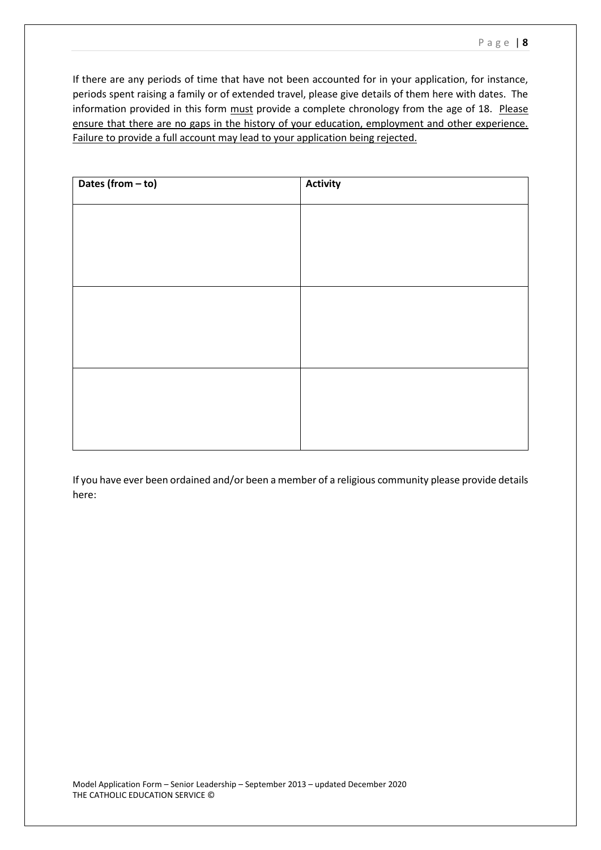If there are any periods of time that have not been accounted for in your application, for instance, periods spent raising a family or of extended travel, please give details of them here with dates. The information provided in this form must provide a complete chronology from the age of 18. Please ensure that there are no gaps in the history of your education, employment and other experience. Failure to provide a full account may lead to your application being rejected.

| Dates (from - to) | <b>Activity</b> |
|-------------------|-----------------|
|                   |                 |
|                   |                 |
|                   |                 |
|                   |                 |
|                   |                 |
|                   |                 |
|                   |                 |
|                   |                 |
|                   |                 |

If you have ever been ordained and/or been a member of a religious community please provide details here: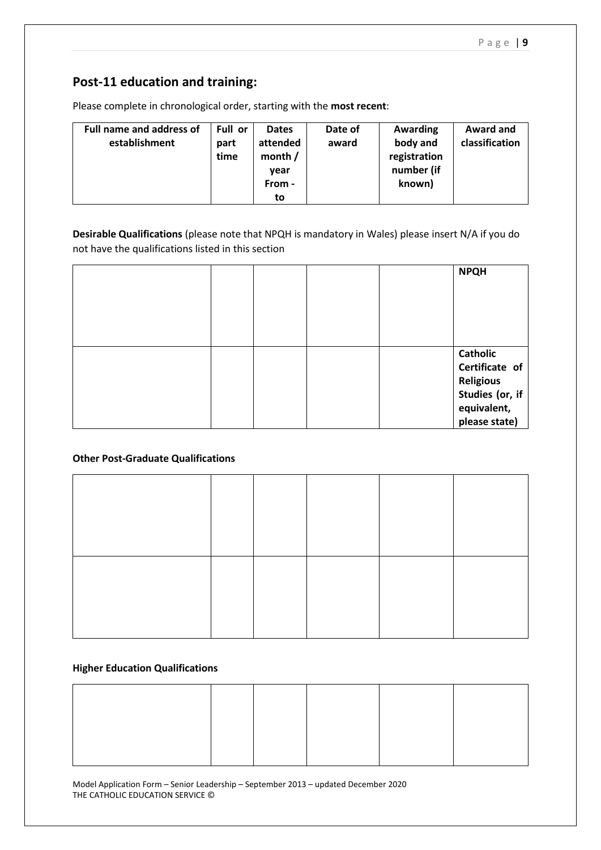## **Post-11 education and training:**

Please complete in chronological order, starting with the **most recent**:

| <b>Full name and address of</b><br>establishment | Full or<br>part<br>time | <b>Dates</b><br>attended<br>month $/$<br>vear<br>From - | Date of<br>award | Awarding<br>body and<br>registration<br>number (if<br>known) | Award and<br>classification |
|--------------------------------------------------|-------------------------|---------------------------------------------------------|------------------|--------------------------------------------------------------|-----------------------------|
|                                                  |                         | to                                                      |                  |                                                              |                             |

**Desirable Qualifications** (please note that NPQH is mandatory in Wales) please insert N/A if you do not have the qualifications listed in this section

|  |  | <b>NPQH</b>                                                              |
|--|--|--------------------------------------------------------------------------|
|  |  | <b>Catholic</b><br>Certificate of<br><b>Religious</b><br>Studies (or, if |
|  |  | equivalent,<br>please state)                                             |

### **Other Post-Graduate Qualifications**

#### **Higher Education Qualifications**

Model Application Form – Senior Leadership – September 2013 – updated December 2020 THE CATHOLIC EDUCATION SERVICE ©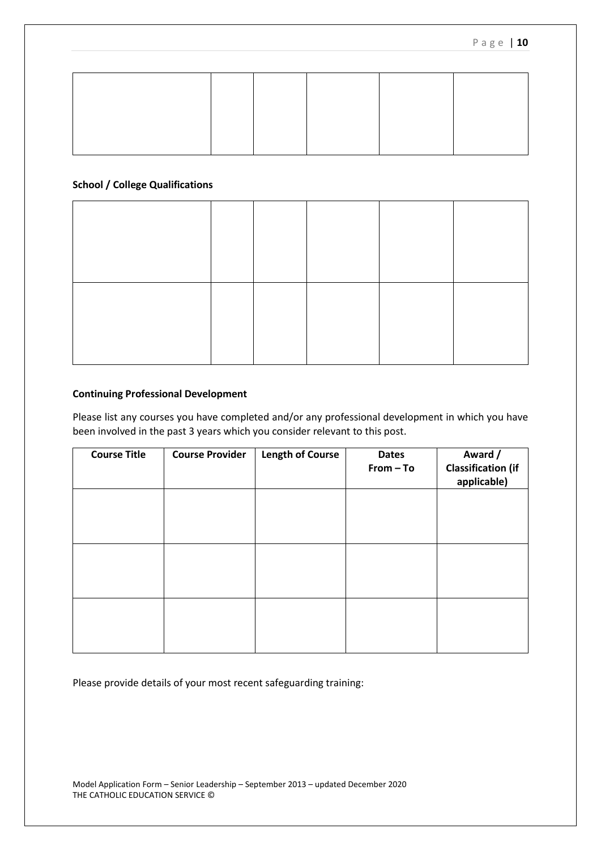#### **School / College Qualifications**

#### **Continuing Professional Development**

Please list any courses you have completed and/or any professional development in which you have been involved in the past 3 years which you consider relevant to this post.

| <b>Course Title</b> | <b>Course Provider</b> | <b>Length of Course</b> | <b>Dates</b><br>From - To | Award /<br><b>Classification (if</b><br>applicable) |
|---------------------|------------------------|-------------------------|---------------------------|-----------------------------------------------------|
|                     |                        |                         |                           |                                                     |
|                     |                        |                         |                           |                                                     |
|                     |                        |                         |                           |                                                     |
|                     |                        |                         |                           |                                                     |

Please provide details of your most recent safeguarding training: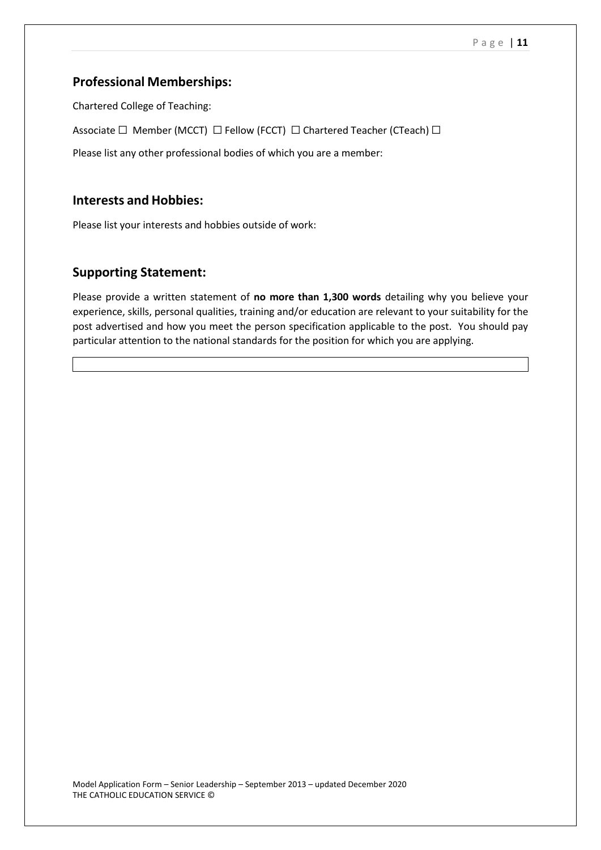## **Professional Memberships:**

Chartered College of Teaching:

Associate □ Member (MCCT) □ Fellow (FCCT) □ Chartered Teacher (CTeach) □

Please list any other professional bodies of which you are a member:

## **Interests and Hobbies:**

Please list your interests and hobbies outside of work:

## **Supporting Statement:**

Please provide a written statement of **no more than 1,300 words** detailing why you believe your experience, skills, personal qualities, training and/or education are relevant to your suitability for the post advertised and how you meet the person specification applicable to the post. You should pay particular attention to the national standards for the position for which you are applying.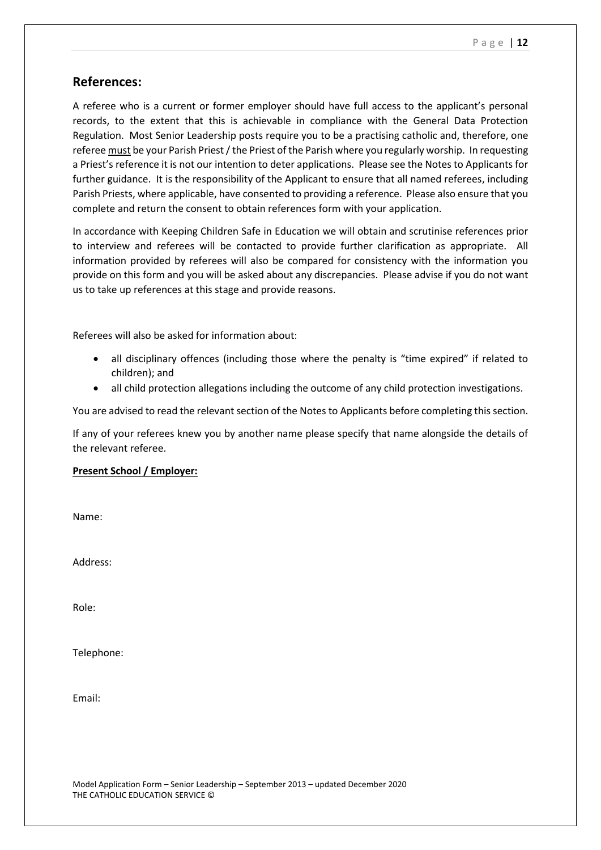### **References:**

A referee who is a current or former employer should have full access to the applicant's personal records, to the extent that this is achievable in compliance with the General Data Protection Regulation. Most Senior Leadership posts require you to be a practising catholic and, therefore, one referee must be your Parish Priest / the Priest of the Parish where you regularly worship. In requesting a Priest's reference it is not our intention to deter applications. Please see the Notes to Applicants for further guidance. It is the responsibility of the Applicant to ensure that all named referees, including Parish Priests, where applicable, have consented to providing a reference. Please also ensure that you complete and return the consent to obtain references form with your application.

In accordance with Keeping Children Safe in Education we will obtain and scrutinise references prior to interview and referees will be contacted to provide further clarification as appropriate. All information provided by referees will also be compared for consistency with the information you provide on this form and you will be asked about any discrepancies. Please advise if you do not want us to take up references at this stage and provide reasons.

Referees will also be asked for information about:

- all disciplinary offences (including those where the penalty is "time expired" if related to children); and
- all child protection allegations including the outcome of any child protection investigations.

You are advised to read the relevant section of the Notes to Applicants before completing this section.

If any of your referees knew you by another name please specify that name alongside the details of the relevant referee.

#### **Present School / Employer:**

Name:

Address:

Role:

Telephone:

Email: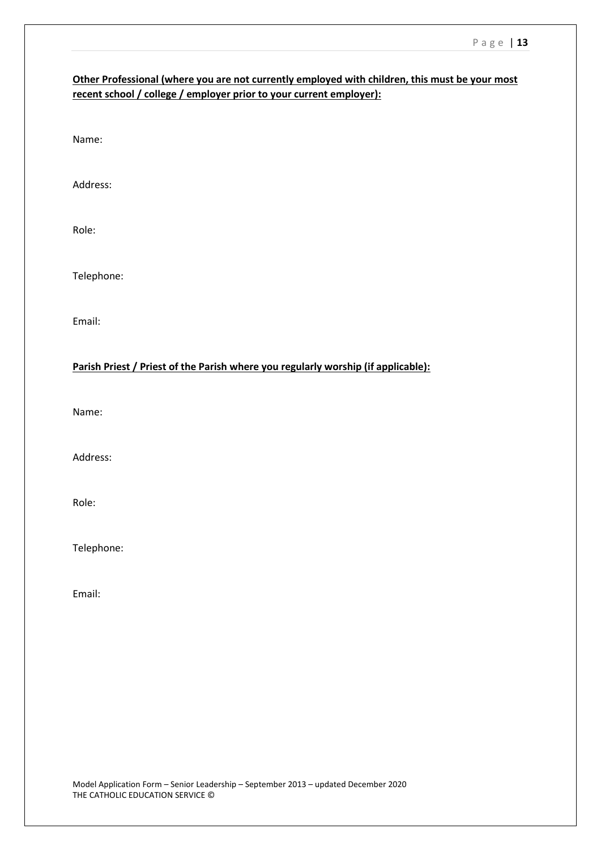### **Other Professional (where you are not currently employed with children, this must be your most recent school / college / employer prior to your current employer):**

Name:

Address:

Role:

Telephone:

Email:

#### **Parish Priest / Priest of the Parish where you regularly worship (if applicable):**

Name:

Address:

Role:

Telephone:

Email: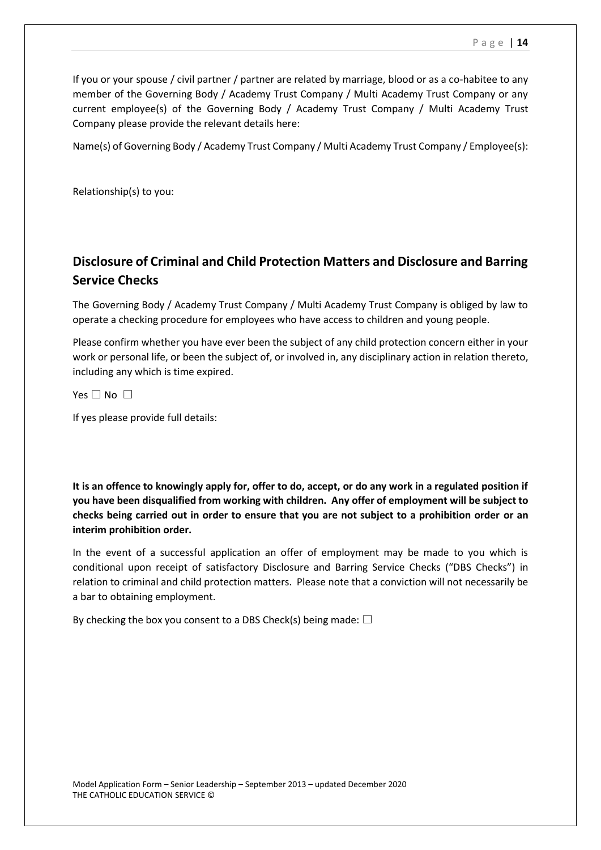If you or your spouse / civil partner / partner are related by marriage, blood or as a co-habitee to any member of the Governing Body / Academy Trust Company / Multi Academy Trust Company or any current employee(s) of the Governing Body / Academy Trust Company / Multi Academy Trust Company please provide the relevant details here:

Name(s) of Governing Body / Academy Trust Company / Multi Academy Trust Company / Employee(s):

Relationship(s) to you:

## **Disclosure of Criminal and Child Protection Matters and Disclosure and Barring Service Checks**

The Governing Body / Academy Trust Company / Multi Academy Trust Company is obliged by law to operate a checking procedure for employees who have access to children and young people.

Please confirm whether you have ever been the subject of any child protection concern either in your work or personal life, or been the subject of, or involved in, any disciplinary action in relation thereto, including any which is time expired.

Yes □ No □

If yes please provide full details:

**It is an offence to knowingly apply for, offer to do, accept, or do any work in a regulated position if you have been disqualified from working with children. Any offer of employment will be subject to checks being carried out in order to ensure that you are not subject to a prohibition order or an interim prohibition order.**

In the event of a successful application an offer of employment may be made to you which is conditional upon receipt of satisfactory Disclosure and Barring Service Checks ("DBS Checks") in relation to criminal and child protection matters. Please note that a conviction will not necessarily be a bar to obtaining employment.

By checking the box you consent to a DBS Check(s) being made:  $\Box$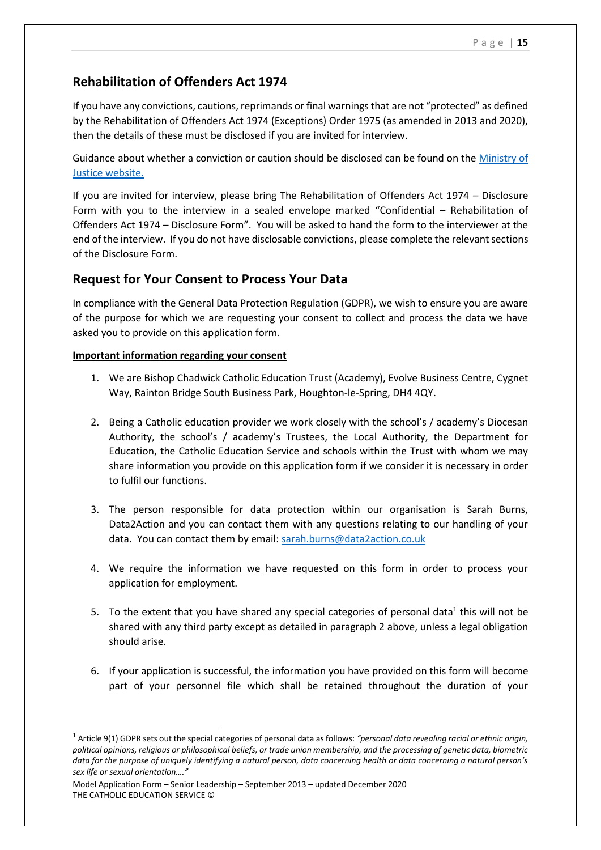## **Rehabilitation of Offenders Act 1974**

If you have any convictions, cautions, reprimands or final warnings that are not "protected" as defined by the Rehabilitation of Offenders Act 1974 (Exceptions) Order 1975 (as amended in 2013 and 2020), then the details of these must be disclosed if you are invited for interview.

Guidance about whether a conviction or caution should be disclosed can be found on the [Ministry of](https://www.gov.uk/government/publications/new-guidance-on-the-rehabilitation-of-offenders-act-1974)  [Justice website.](https://www.gov.uk/government/publications/new-guidance-on-the-rehabilitation-of-offenders-act-1974)

If you are invited for interview, please bring The Rehabilitation of Offenders Act 1974 – Disclosure Form with you to the interview in a sealed envelope marked "Confidential – Rehabilitation of Offenders Act 1974 – Disclosure Form". You will be asked to hand the form to the interviewer at the end of the interview. If you do not have disclosable convictions, please complete the relevant sections of the Disclosure Form.

## **Request for Your Consent to Process Your Data**

In compliance with the General Data Protection Regulation (GDPR), we wish to ensure you are aware of the purpose for which we are requesting your consent to collect and process the data we have asked you to provide on this application form.

#### **Important information regarding your consent**

- 1. We are Bishop Chadwick Catholic Education Trust (Academy), Evolve Business Centre, Cygnet Way, Rainton Bridge South Business Park, Houghton-le-Spring, DH4 4QY.
- 2. Being a Catholic education provider we work closely with the school's / academy's Diocesan Authority, the school's / academy's Trustees, the Local Authority, the Department for Education, the Catholic Education Service and schools within the Trust with whom we may share information you provide on this application form if we consider it is necessary in order to fulfil our functions.
- 3. The person responsible for data protection within our organisation is Sarah Burns, Data2Action and you can contact them with any questions relating to our handling of your data. You can contact them by email: [sarah.burns@data2action.co.uk](mailto:sarah.burns@data2action.co.uk)
- 4. We require the information we have requested on this form in order to process your application for employment.
- 5. To the extent that you have shared any special categories of personal data<sup>1</sup> this will not be shared with any third party except as detailed in paragraph 2 above, unless a legal obligation should arise.
- 6. If your application is successful, the information you have provided on this form will become part of your personnel file which shall be retained throughout the duration of your

Model Application Form – Senior Leadership – September 2013 – updated December 2020 THE CATHOLIC EDUCATION SERVICE ©

**.** 

<sup>1</sup> Article 9(1) GDPR sets out the special categories of personal data as follows: *"personal data revealing racial or ethnic origin, political opinions, religious or philosophical beliefs, or trade union membership, and the processing of genetic data, biometric data for the purpose of uniquely identifying a natural person, data concerning health or data concerning a natural person's sex life or sexual orientation…."*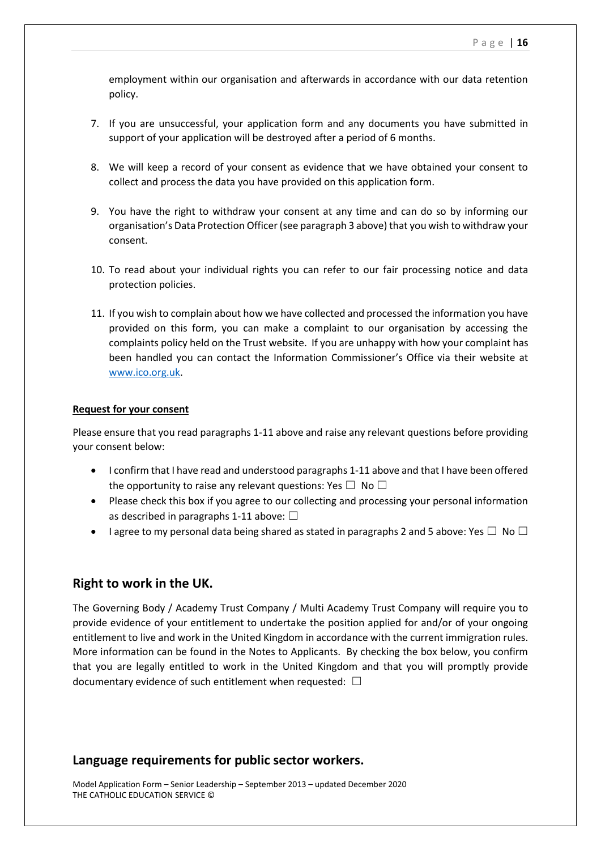employment within our organisation and afterwards in accordance with our data retention policy.

- 7. If you are unsuccessful, your application form and any documents you have submitted in support of your application will be destroyed after a period of 6 months.
- 8. We will keep a record of your consent as evidence that we have obtained your consent to collect and process the data you have provided on this application form.
- 9. You have the right to withdraw your consent at any time and can do so by informing our organisation's Data Protection Officer (see paragraph 3 above) that you wish to withdraw your consent.
- 10. To read about your individual rights you can refer to our fair processing notice and data protection policies.
- 11. If you wish to complain about how we have collected and processed the information you have provided on this form, you can make a complaint to our organisation by accessing the complaints policy held on the Trust website. If you are unhappy with how your complaint has been handled you can contact the Information Commissioner's Office via their website at [www.ico.org.uk.](http://www.ico.org.uk/)

#### **Request for your consent**

Please ensure that you read paragraphs 1-11 above and raise any relevant questions before providing your consent below:

- I confirm that I have read and understood paragraphs 1-11 above and that I have been offered the opportunity to raise any relevant questions: Yes  $\square$  No  $\square$
- Please check this box if you agree to our collecting and processing your personal information as described in paragraphs 1-11 above:  $\Box$
- **I** agree to my personal data being shared as stated in paragraphs 2 and 5 above: Yes  $\Box$  No  $\Box$

#### **Right to work in the UK.**

The Governing Body / Academy Trust Company / Multi Academy Trust Company will require you to provide evidence of your entitlement to undertake the position applied for and/or of your ongoing entitlement to live and work in the United Kingdom in accordance with the current immigration rules. More information can be found in the Notes to Applicants. By checking the box below, you confirm that you are legally entitled to work in the United Kingdom and that you will promptly provide documentary evidence of such entitlement when requested:  $\Box$ 

#### **Language requirements for public sector workers.**

Model Application Form – Senior Leadership – September 2013 – updated December 2020 THE CATHOLIC EDUCATION SERVICE ©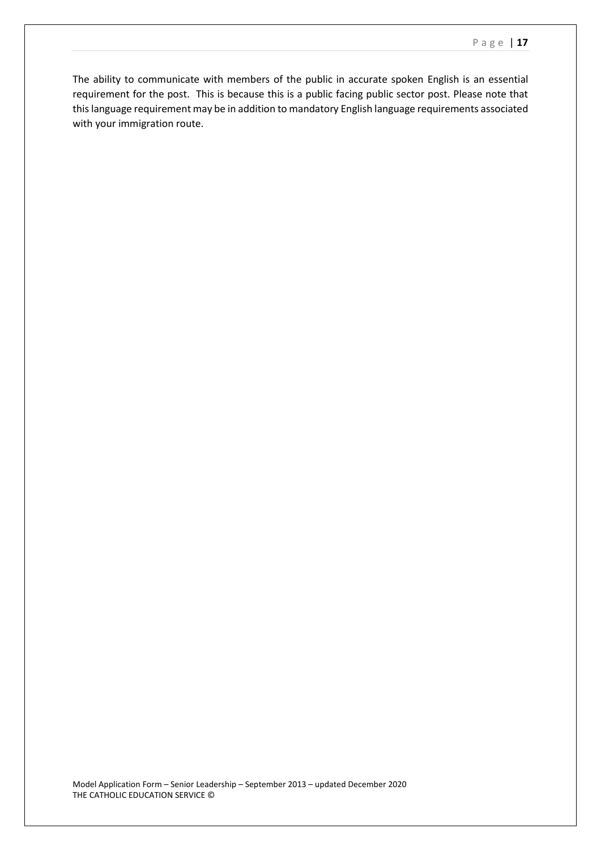The ability to communicate with members of the public in accurate spoken English is an essential requirement for the post. This is because this is a public facing public sector post. Please note that this language requirement may be in addition to mandatory English language requirements associated with your immigration route.